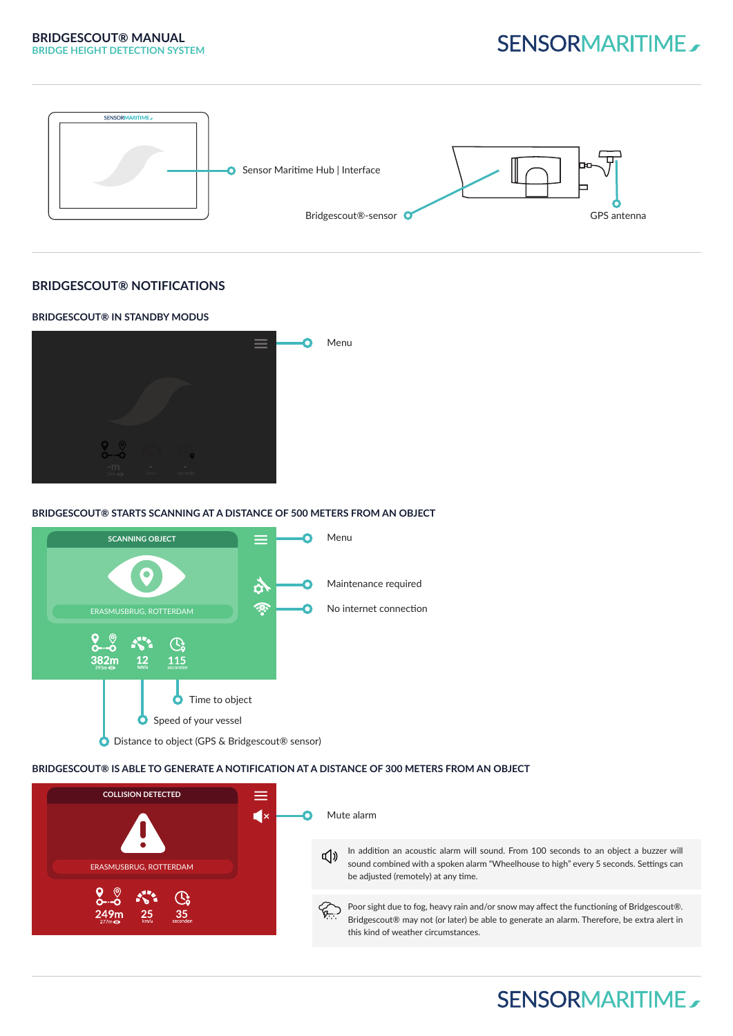

### **BRIDGESCOUT® NOTIFICATIONS**



### **BRIDGESCOUT® STARTS SCANNING AT A DISTANCE OF 500 METERS FROM AN OBJECT**



#### **BRIDGESCOUT® IS ABLE TO GENERATE A NOTIFICATION AT A DISTANCE OF 300 METERS FROM AN OBJECT**



# **SENSORMARITIME**